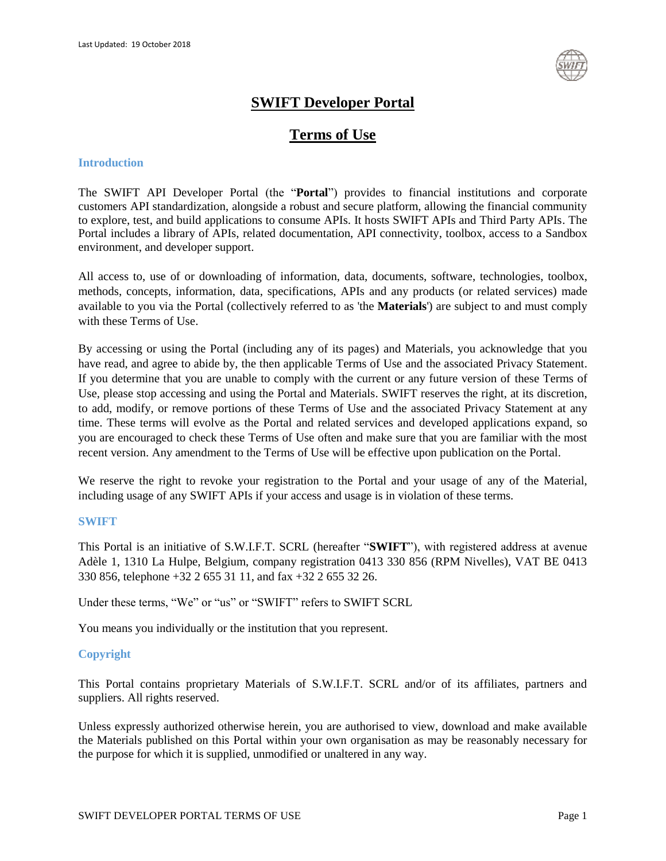

# **SWIFT Developer Portal**

## **Terms of Use**

## **Introduction**

The SWIFT API Developer Portal (the "**Portal**") provides to financial institutions and corporate customers API standardization, alongside a robust and secure platform, allowing the financial community to explore, test, and build applications to consume APIs. It hosts SWIFT APIs and Third Party APIs. The Portal includes a library of APIs, related documentation, API connectivity, toolbox, access to a Sandbox environment, and developer support.

All access to, use of or downloading of information, data, documents, software, technologies, toolbox, methods, concepts, information, data, specifications, APIs and any products (or related services) made available to you via the Portal (collectively referred to as 'the **Materials**') are subject to and must comply with these Terms of Use.

By accessing or using the Portal (including any of its pages) and Materials, you acknowledge that you have read, and agree to abide by, the then applicable Terms of Use and the associated Privacy Statement. If you determine that you are unable to comply with the current or any future version of these Terms of Use, please stop accessing and using the Portal and Materials. SWIFT reserves the right, at its discretion, to add, modify, or remove portions of these Terms of Use and the associated Privacy Statement at any time. These terms will evolve as the Portal and related services and developed applications expand, so you are encouraged to check these Terms of Use often and make sure that you are familiar with the most recent version. Any amendment to the Terms of Use will be effective upon publication on the Portal.

We reserve the right to revoke your registration to the Portal and your usage of any of the Material, including usage of any SWIFT APIs if your access and usage is in violation of these terms.

#### **SWIFT**

This Portal is an initiative of S.W.I.F.T. SCRL (hereafter "**SWIFT**"), with registered address at avenue Adèle 1, 1310 La Hulpe, Belgium, company registration 0413 330 856 (RPM Nivelles), VAT BE 0413 330 856, telephone +32 2 655 31 11, and fax +32 2 655 32 26.

Under these terms, "We" or "us" or "SWIFT" refers to SWIFT SCRL

You means you individually or the institution that you represent.

## **Copyright**

This Portal contains proprietary Materials of S.W.I.F.T. SCRL and/or of its affiliates, partners and suppliers. All rights reserved.

Unless expressly authorized otherwise herein, you are authorised to view, download and make available the Materials published on this Portal within your own organisation as may be reasonably necessary for the purpose for which it is supplied, unmodified or unaltered in any way.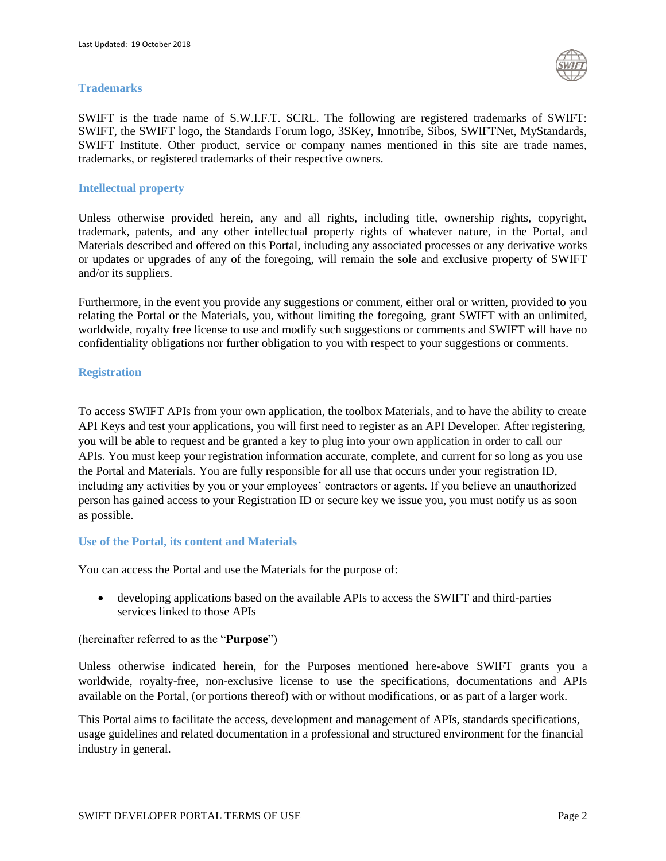#### **Trademarks**



SWIFT is the trade name of S.W.I.F.T. SCRL. The following are registered trademarks of SWIFT: SWIFT, the SWIFT logo, the Standards Forum logo, 3SKey, Innotribe, Sibos, SWIFTNet, MyStandards, SWIFT Institute. Other product, service or company names mentioned in this site are trade names, trademarks, or registered trademarks of their respective owners.

#### **Intellectual property**

Unless otherwise provided herein, any and all rights, including title, ownership rights, copyright, trademark, patents, and any other intellectual property rights of whatever nature, in the Portal, and Materials described and offered on this Portal, including any associated processes or any derivative works or updates or upgrades of any of the foregoing, will remain the sole and exclusive property of SWIFT and/or its suppliers.

Furthermore, in the event you provide any suggestions or comment, either oral or written, provided to you relating the Portal or the Materials, you, without limiting the foregoing, grant SWIFT with an unlimited, worldwide, royalty free license to use and modify such suggestions or comments and SWIFT will have no confidentiality obligations nor further obligation to you with respect to your suggestions or comments.

#### **Registration**

To access SWIFT APIs from your own application, the toolbox Materials, and to have the ability to create API Keys and test your applications, you will first need to register as an API Developer. After registering, you will be able to request and be granted a key to plug into your own application in order to call our APIs. You must keep your registration information accurate, complete, and current for so long as you use the Portal and Materials. You are fully responsible for all use that occurs under your registration ID, including any activities by you or your employees' contractors or agents. If you believe an unauthorized person has gained access to your Registration ID or secure key we issue you, you must notify us as soon as possible.

#### **Use of the Portal, its content and Materials**

You can access the Portal and use the Materials for the purpose of:

 developing applications based on the available APIs to access the SWIFT and third-parties services linked to those APIs

#### (hereinafter referred to as the "**Purpose**")

Unless otherwise indicated herein, for the Purposes mentioned here-above SWIFT grants you a worldwide, royalty-free, non-exclusive license to use the specifications, documentations and APIs available on the Portal, (or portions thereof) with or without modifications, or as part of a larger work.

This Portal aims to facilitate the access, development and management of APIs, standards specifications, usage guidelines and related documentation in a professional and structured environment for the financial industry in general.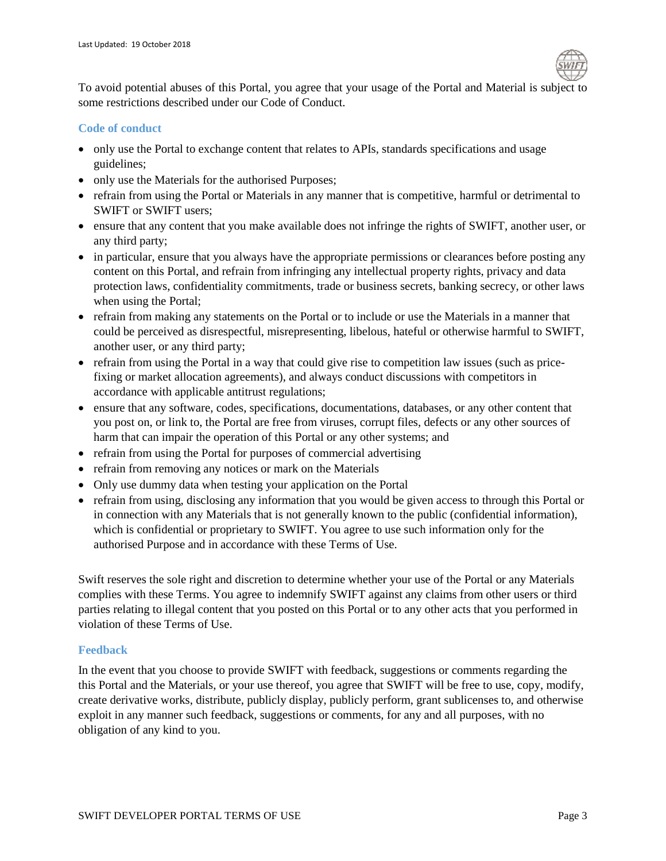

To avoid potential abuses of this Portal, you agree that your usage of the Portal and Material is subject to some restrictions described under our Code of Conduct.

## **Code of conduct**

- only use the Portal to exchange content that relates to APIs, standards specifications and usage guidelines;
- only use the Materials for the authorised Purposes;
- refrain from using the Portal or Materials in any manner that is competitive, harmful or detrimental to SWIFT or SWIFT users;
- ensure that any content that you make available does not infringe the rights of SWIFT, another user, or any third party;
- in particular, ensure that you always have the appropriate permissions or clearances before posting any content on this Portal, and refrain from infringing any intellectual property rights, privacy and data protection laws, confidentiality commitments, trade or business secrets, banking secrecy, or other laws when using the Portal;
- refrain from making any statements on the Portal or to include or use the Materials in a manner that could be perceived as disrespectful, misrepresenting, libelous, hateful or otherwise harmful to SWIFT, another user, or any third party;
- refrain from using the Portal in a way that could give rise to competition law issues (such as pricefixing or market allocation agreements), and always conduct discussions with competitors in accordance with applicable antitrust regulations;
- ensure that any software, codes, specifications, documentations, databases, or any other content that you post on, or link to, the Portal are free from viruses, corrupt files, defects or any other sources of harm that can impair the operation of this Portal or any other systems; and
- refrain from using the Portal for purposes of commercial advertising
- refrain from removing any notices or mark on the Materials
- Only use dummy data when testing your application on the Portal
- refrain from using, disclosing any information that you would be given access to through this Portal or in connection with any Materials that is not generally known to the public (confidential information), which is confidential or proprietary to SWIFT. You agree to use such information only for the authorised Purpose and in accordance with these Terms of Use.

Swift reserves the sole right and discretion to determine whether your use of the Portal or any Materials complies with these Terms. You agree to indemnify SWIFT against any claims from other users or third parties relating to illegal content that you posted on this Portal or to any other acts that you performed in violation of these Terms of Use.

## **Feedback**

In the event that you choose to provide SWIFT with feedback, suggestions or comments regarding the this Portal and the Materials, or your use thereof, you agree that SWIFT will be free to use, copy, modify, create derivative works, distribute, publicly display, publicly perform, grant sublicenses to, and otherwise exploit in any manner such feedback, suggestions or comments, for any and all purposes, with no obligation of any kind to you.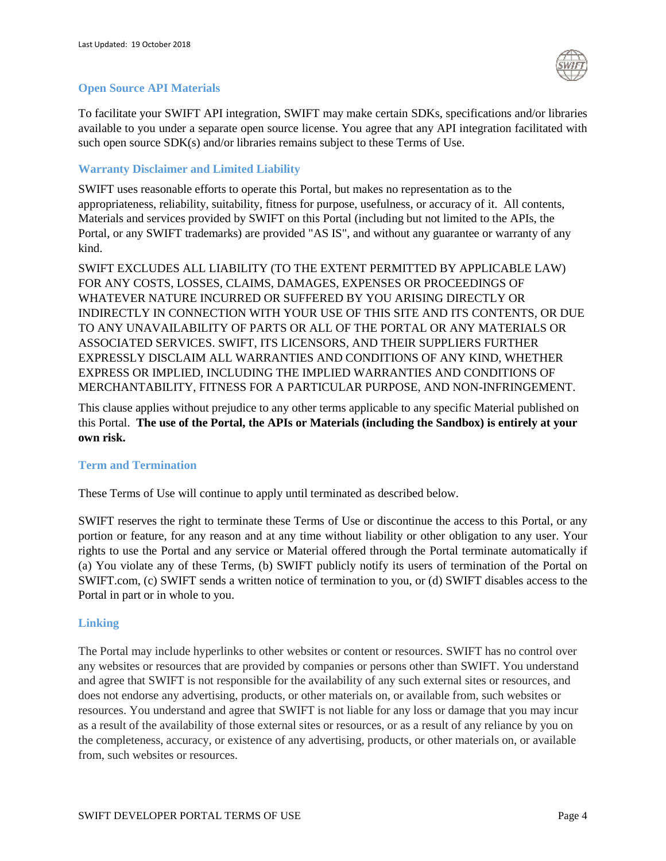

#### **Open Source API Materials**

To facilitate your SWIFT API integration, SWIFT may make certain SDKs, specifications and/or libraries available to you under a separate open source license. You agree that any API integration facilitated with such open source SDK(s) and/or libraries remains subject to these Terms of Use.

## **Warranty Disclaimer and Limited Liability**

SWIFT uses reasonable efforts to operate this Portal, but makes no representation as to the appropriateness, reliability, suitability, fitness for purpose, usefulness, or accuracy of it. All contents, Materials and services provided by SWIFT on this Portal (including but not limited to the APIs, the Portal, or any SWIFT trademarks) are provided "AS IS", and without any guarantee or warranty of any kind.

SWIFT EXCLUDES ALL LIABILITY (TO THE EXTENT PERMITTED BY APPLICABLE LAW) FOR ANY COSTS, LOSSES, CLAIMS, DAMAGES, EXPENSES OR PROCEEDINGS OF WHATEVER NATURE INCURRED OR SUFFERED BY YOU ARISING DIRECTLY OR INDIRECTLY IN CONNECTION WITH YOUR USE OF THIS SITE AND ITS CONTENTS, OR DUE TO ANY UNAVAILABILITY OF PARTS OR ALL OF THE PORTAL OR ANY MATERIALS OR ASSOCIATED SERVICES. SWIFT, ITS LICENSORS, AND THEIR SUPPLIERS FURTHER EXPRESSLY DISCLAIM ALL WARRANTIES AND CONDITIONS OF ANY KIND, WHETHER EXPRESS OR IMPLIED, INCLUDING THE IMPLIED WARRANTIES AND CONDITIONS OF MERCHANTABILITY, FITNESS FOR A PARTICULAR PURPOSE, AND NON-INFRINGEMENT.

This clause applies without prejudice to any other terms applicable to any specific Material published on this Portal. **The use of the Portal, the APIs or Materials (including the Sandbox) is entirely at your own risk.**

## **Term and Termination**

These Terms of Use will continue to apply until terminated as described below.

SWIFT reserves the right to terminate these Terms of Use or discontinue the access to this Portal, or any portion or feature, for any reason and at any time without liability or other obligation to any user. Your rights to use the Portal and any service or Material offered through the Portal terminate automatically if (a) You violate any of these Terms, (b) SWIFT publicly notify its users of termination of the Portal on SWIFT.com, (c) SWIFT sends a written notice of termination to you, or (d) SWIFT disables access to the Portal in part or in whole to you.

#### **Linking**

The Portal may include hyperlinks to other websites or content or resources. SWIFT has no control over any websites or resources that are provided by companies or persons other than SWIFT. You understand and agree that SWIFT is not responsible for the availability of any such external sites or resources, and does not endorse any advertising, products, or other materials on, or available from, such websites or resources. You understand and agree that SWIFT is not liable for any loss or damage that you may incur as a result of the availability of those external sites or resources, or as a result of any reliance by you on the completeness, accuracy, or existence of any advertising, products, or other materials on, or available from, such websites or resources.